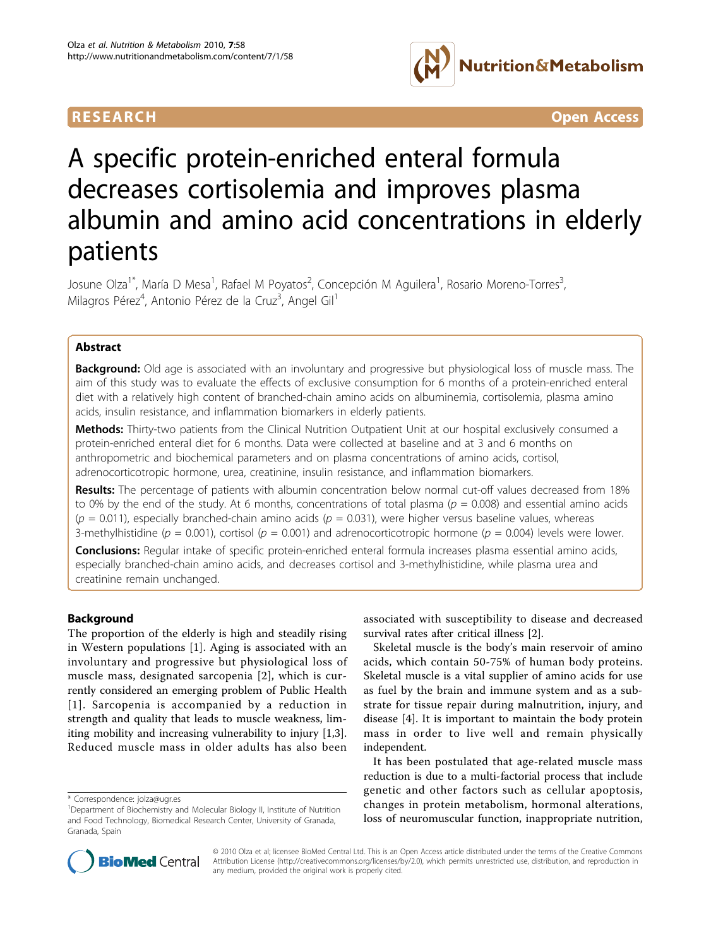

RESEARCH **CONTROLLER CONTROLLER CONTROLLER CONTROLLER CONTROLLER CONTROLLER CONTROLLER CONTROLLER CONTROLLER CONTROLLER CONTROLLER CONTROLLER CONTROLLER CONTROLLER CONTROLLER CONTROLLER CONTROLLER CONTROLLER CONTROLLER CON** 

# A specific protein-enriched enteral formula decreases cortisolemia and improves plasma albumin and amino acid concentrations in elderly patients

Josune Olza<sup>1\*</sup>, María D Mesa<sup>1</sup>, Rafael M Poyatos<sup>2</sup>, Concepción M Aguilera<sup>1</sup>, Rosario Moreno-Torres<sup>3</sup> , Milagros Pérez<sup>4</sup>, Antonio Pérez de la Cruz<sup>3</sup>, Angel Gil<sup>1</sup>

# Abstract

**Background:** Old age is associated with an involuntary and progressive but physiological loss of muscle mass. The aim of this study was to evaluate the effects of exclusive consumption for 6 months of a protein-enriched enteral diet with a relatively high content of branched-chain amino acids on albuminemia, cortisolemia, plasma amino acids, insulin resistance, and inflammation biomarkers in elderly patients.

Methods: Thirty-two patients from the Clinical Nutrition Outpatient Unit at our hospital exclusively consumed a protein-enriched enteral diet for 6 months. Data were collected at baseline and at 3 and 6 months on anthropometric and biochemical parameters and on plasma concentrations of amino acids, cortisol, adrenocorticotropic hormone, urea, creatinine, insulin resistance, and inflammation biomarkers.

Results: The percentage of patients with albumin concentration below normal cut-off values decreased from 18% to 0% by the end of the study. At 6 months, concentrations of total plasma ( $p = 0.008$ ) and essential amino acids  $(p = 0.011)$ , especially branched-chain amino acids  $(p = 0.031)$ , were higher versus baseline values, whereas 3-methylhistidine ( $p = 0.001$ ), cortisol ( $p = 0.001$ ) and adrenocorticotropic hormone ( $p = 0.004$ ) levels were lower.

Conclusions: Regular intake of specific protein-enriched enteral formula increases plasma essential amino acids, especially branched-chain amino acids, and decreases cortisol and 3-methylhistidine, while plasma urea and creatinine remain unchanged.

# Background

The proportion of the elderly is high and steadily rising in Western populations [[1\]](#page-6-0). Aging is associated with an involuntary and progressive but physiological loss of muscle mass, designated sarcopenia [[2](#page-6-0)], which is currently considered an emerging problem of Public Health [[1\]](#page-6-0). Sarcopenia is accompanied by a reduction in strength and quality that leads to muscle weakness, limiting mobility and increasing vulnerability to injury [\[1](#page-6-0)[,3](#page-7-0)]. Reduced muscle mass in older adults has also been

associated with susceptibility to disease and decreased survival rates after critical illness [\[2](#page-6-0)].

Skeletal muscle is the body's main reservoir of amino acids, which contain 50-75% of human body proteins. Skeletal muscle is a vital supplier of amino acids for use as fuel by the brain and immune system and as a substrate for tissue repair during malnutrition, injury, and disease [[4\]](#page-7-0). It is important to maintain the body protein mass in order to live well and remain physically independent.

It has been postulated that age-related muscle mass reduction is due to a multi-factorial process that include genetic and other factors such as cellular apoptosis, changes in protein metabolism, hormonal alterations, loss of neuromuscular function, inappropriate nutrition,



© 2010 Olza et al; licensee BioMed Central Ltd. This is an Open Access article distributed under the terms of the Creative Commons Attribution License [\(http://creativecommons.org/licenses/by/2.0](http://creativecommons.org/licenses/by/2.0)), which permits unrestricted use, distribution, and reproduction in any medium, provided the original work is properly cited.

<sup>\*</sup> Correspondence: [jolza@ugr.es](mailto:jolza@ugr.es)

<sup>&</sup>lt;sup>1</sup>Department of Biochemistry and Molecular Biology II, Institute of Nutrition and Food Technology, Biomedical Research Center, University of Granada, Granada, Spain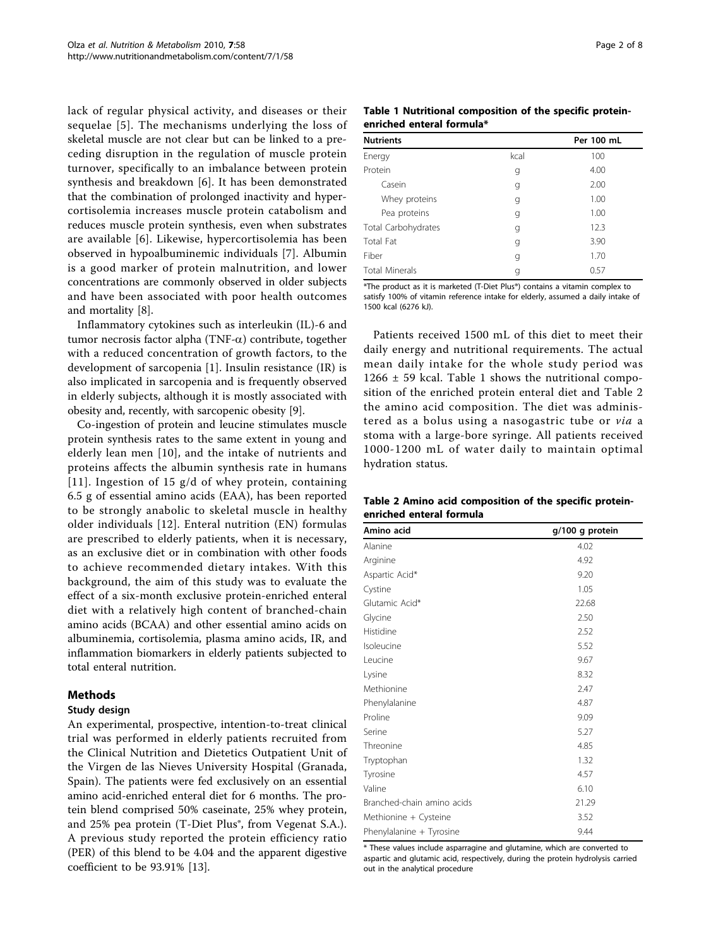lack of regular physical activity, and diseases or their sequelae [[5](#page-7-0)]. The mechanisms underlying the loss of skeletal muscle are not clear but can be linked to a preceding disruption in the regulation of muscle protein turnover, specifically to an imbalance between protein synthesis and breakdown [[6](#page-7-0)]. It has been demonstrated that the combination of prolonged inactivity and hypercortisolemia increases muscle protein catabolism and reduces muscle protein synthesis, even when substrates are available [[6\]](#page-7-0). Likewise, hypercortisolemia has been observed in hypoalbuminemic individuals [[7\]](#page-7-0). Albumin is a good marker of protein malnutrition, and lower concentrations are commonly observed in older subjects and have been associated with poor health outcomes and mortality [\[8](#page-7-0)].

Inflammatory cytokines such as interleukin (IL)-6 and tumor necrosis factor alpha (TNF- $\alpha$ ) contribute, together with a reduced concentration of growth factors, to the development of sarcopenia [\[1](#page-6-0)]. Insulin resistance (IR) is also implicated in sarcopenia and is frequently observed in elderly subjects, although it is mostly associated with obesity and, recently, with sarcopenic obesity [\[9](#page-7-0)].

Co-ingestion of protein and leucine stimulates muscle protein synthesis rates to the same extent in young and elderly lean men [[10\]](#page-7-0), and the intake of nutrients and proteins affects the albumin synthesis rate in humans [[11\]](#page-7-0). Ingestion of 15 g/d of whey protein, containing 6.5 g of essential amino acids (EAA), has been reported to be strongly anabolic to skeletal muscle in healthy older individuals [[12](#page-7-0)]. Enteral nutrition (EN) formulas are prescribed to elderly patients, when it is necessary, as an exclusive diet or in combination with other foods to achieve recommended dietary intakes. With this background, the aim of this study was to evaluate the effect of a six-month exclusive protein-enriched enteral diet with a relatively high content of branched-chain amino acids (BCAA) and other essential amino acids on albuminemia, cortisolemia, plasma amino acids, IR, and inflammation biomarkers in elderly patients subjected to total enteral nutrition.

# **Methods**

# Study design

An experimental, prospective, intention-to-treat clinical trial was performed in elderly patients recruited from the Clinical Nutrition and Dietetics Outpatient Unit of the Virgen de las Nieves University Hospital (Granada, Spain). The patients were fed exclusively on an essential amino acid-enriched enteral diet for 6 months. The protein blend comprised 50% caseinate, 25% whey protein, and 25% pea protein (T-Diet Plus®, from Vegenat S.A.). A previous study reported the protein efficiency ratio (PER) of this blend to be 4.04 and the apparent digestive coefficient to be 93.91% [[13\]](#page-7-0).

|                           | Table 1 Nutritional composition of the specific protein- |  |  |
|---------------------------|----------------------------------------------------------|--|--|
| enriched enteral formula* |                                                          |  |  |

| <b>Nutrients</b>      |      | Per 100 mL |
|-----------------------|------|------------|
| Energy                | kcal | 100        |
| Protein               | g    | 4.00       |
| Casein                | g    | 2.00       |
| Whey proteins         | g    | 1.00       |
| Pea proteins          | g    | 1.00       |
| Total Carbohydrates   | g    | 12.3       |
| Total Fat             | g    | 3.90       |
| Fiber                 | g    | 1.70       |
| <b>Total Minerals</b> | g    | 0.57       |

\*The product as it is marketed (T-Diet Plus®) contains a vitamin complex to satisfy 100% of vitamin reference intake for elderly, assumed a daily intake of 1500 kcal (6276 kJ).

Patients received 1500 mL of this diet to meet their daily energy and nutritional requirements. The actual mean daily intake for the whole study period was  $1266 \pm 59$  kcal. Table 1 shows the nutritional composition of the enriched protein enteral diet and Table 2 the amino acid composition. The diet was administered as a bolus using a nasogastric tube or via a stoma with a large-bore syringe. All patients received 1000-1200 mL of water daily to maintain optimal hydration status.

|                          |  | Table 2 Amino acid composition of the specific protein- |  |  |
|--------------------------|--|---------------------------------------------------------|--|--|
| enriched enteral formula |  |                                                         |  |  |

| Amino acid                 | g/100 g protein |
|----------------------------|-----------------|
| Alanine                    | 4.02            |
| Arginine                   | 4.92            |
| Aspartic Acid*             | 9.20            |
| Cystine                    | 1.05            |
| Glutamic Acid*             | 22.68           |
| Glycine                    | 2.50            |
| Histidine                  | 2.52            |
| Isoleucine                 | 5.52            |
| Leucine                    | 9.67            |
| Lysine                     | 8.32            |
| Methionine                 | 2.47            |
| Phenylalanine              | 4.87            |
| Proline                    | 9.09            |
| Serine                     | 5.27            |
| Threonine                  | 4.85            |
| Tryptophan                 | 1.32            |
| Tyrosine                   | 4.57            |
| Valine                     | 6.10            |
| Branched-chain amino acids | 21.29           |
| Methionine + Cysteine      | 3.52            |
| Phenylalanine + Tyrosine   | 9.44            |

\* These values include asparragine and glutamine, which are converted to aspartic and glutamic acid, respectively, during the protein hydrolysis carried out in the analytical procedure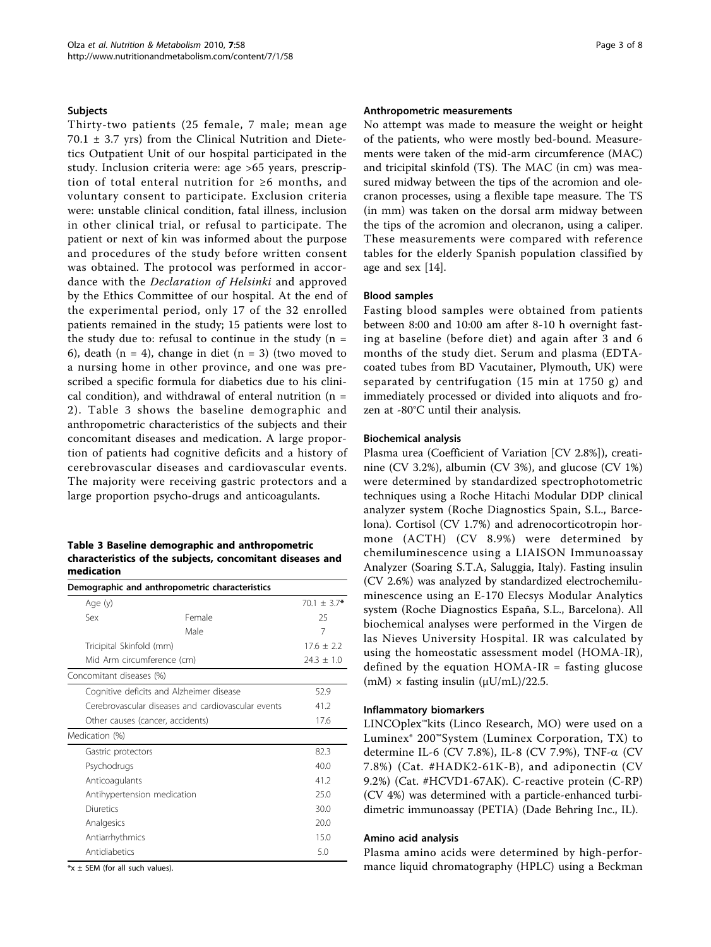#### Subjects

Thirty-two patients (25 female, 7 male; mean age 70.1 ± 3.7 yrs) from the Clinical Nutrition and Dietetics Outpatient Unit of our hospital participated in the study. Inclusion criteria were: age >65 years, prescription of total enteral nutrition for ≥6 months, and voluntary consent to participate. Exclusion criteria were: unstable clinical condition, fatal illness, inclusion in other clinical trial, or refusal to participate. The patient or next of kin was informed about the purpose and procedures of the study before written consent was obtained. The protocol was performed in accordance with the Declaration of Helsinki and approved by the Ethics Committee of our hospital. At the end of the experimental period, only 17 of the 32 enrolled patients remained in the study; 15 patients were lost to the study due to: refusal to continue in the study  $(n =$ 6), death (n = 4), change in diet (n = 3) (two moved to a nursing home in other province, and one was prescribed a specific formula for diabetics due to his clinical condition), and withdrawal of enteral nutrition ( $n =$ 2). Table 3 shows the baseline demographic and anthropometric characteristics of the subjects and their concomitant diseases and medication. A large proportion of patients had cognitive deficits and a history of cerebrovascular diseases and cardiovascular events. The majority were receiving gastric protectors and a large proportion psycho-drugs and anticoagulants.

#### Table 3 Baseline demographic and anthropometric characteristics of the subjects, concomitant diseases and medication

|                                  | Demographic and anthropometric characteristics     |               |
|----------------------------------|----------------------------------------------------|---------------|
| Age (y)                          |                                                    | $70.1 + 3.7*$ |
| $S_{PX}$                         | Female                                             | 25            |
|                                  | Male                                               | 7             |
| Tricipital Skinfold (mm)         |                                                    | $17.6 + 2.2$  |
| Mid Arm circumference (cm)       |                                                    | $74.3 + 1.0$  |
| Concomitant diseases (%)         |                                                    |               |
|                                  | Cognitive deficits and Alzheimer disease           | 52.9          |
|                                  | Cerebrovascular diseases and cardiovascular events | 41.2          |
| Other causes (cancer, accidents) | 17.6                                               |               |
| Medication (%)                   |                                                    |               |
| Gastric protectors               |                                                    | 82.3          |
| Psychodrugs                      |                                                    | 400           |
| Anticoagulants                   |                                                    | 412           |
| Antihypertension medication      |                                                    | 25.0          |
| Diuretics                        |                                                    | 30.0          |
| Analgesics                       |                                                    | 20.0          |
| Antiarrhythmics                  |                                                    | 15.0          |
| Antidiabetics                    |                                                    | 5.0           |

 $*x \pm$  SEM (for all such values).

# Anthropometric measurements

No attempt was made to measure the weight or height of the patients, who were mostly bed-bound. Measurements were taken of the mid-arm circumference (MAC) and tricipital skinfold (TS). The MAC (in cm) was measured midway between the tips of the acromion and olecranon processes, using a flexible tape measure. The TS (in mm) was taken on the dorsal arm midway between the tips of the acromion and olecranon, using a caliper. These measurements were compared with reference tables for the elderly Spanish population classified by age and sex [[14\]](#page-7-0).

#### Blood samples

Fasting blood samples were obtained from patients between 8:00 and 10:00 am after 8-10 h overnight fasting at baseline (before diet) and again after 3 and 6 months of the study diet. Serum and plasma (EDTAcoated tubes from BD Vacutainer, Plymouth, UK) were separated by centrifugation (15 min at 1750 g) and immediately processed or divided into aliquots and frozen at -80°C until their analysis.

#### Biochemical analysis

Plasma urea (Coefficient of Variation [CV 2.8%]), creatinine (CV 3.2%), albumin (CV 3%), and glucose (CV 1%) were determined by standardized spectrophotometric techniques using a Roche Hitachi Modular DDP clinical analyzer system (Roche Diagnostics Spain, S.L., Barcelona). Cortisol (CV 1.7%) and adrenocorticotropin hormone (ACTH) (CV 8.9%) were determined by chemiluminescence using a LIAISON Immunoassay Analyzer (Soaring S.T.A, Saluggia, Italy). Fasting insulin (CV 2.6%) was analyzed by standardized electrochemiluminescence using an E-170 Elecsys Modular Analytics system (Roche Diagnostics España, S.L., Barcelona). All biochemical analyses were performed in the Virgen de las Nieves University Hospital. IR was calculated by using the homeostatic assessment model (HOMA-IR), defined by the equation  $HOMA-IR$  = fasting glucose  $(mM)$  × fasting insulin  $(\mu U/mL)/22.5$ .

## Inflammatory biomarkers

LINCOplex™kits (Linco Research, MO) were used on a Luminex® 200™System (Luminex Corporation, TX) to determine IL-6 (CV 7.8%), IL-8 (CV 7.9%), TNF- $\alpha$  (CV 7.8%) (Cat. #HADK2-61K-B), and adiponectin (CV 9.2%) (Cat. #HCVD1-67AK). C-reactive protein (C-RP) (CV 4%) was determined with a particle-enhanced turbidimetric immunoassay (PETIA) (Dade Behring Inc., IL).

#### Amino acid analysis

Plasma amino acids were determined by high-performance liquid chromatography (HPLC) using a Beckman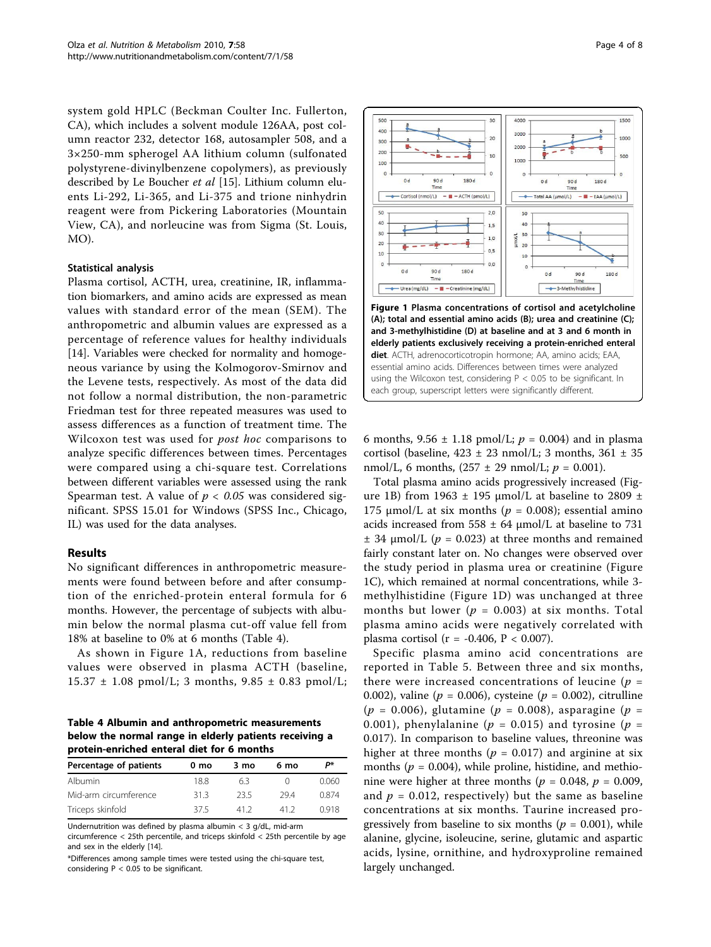system gold HPLC (Beckman Coulter Inc. Fullerton, CA), which includes a solvent module 126AA, post column reactor 232, detector 168, autosampler 508, and a 3×250-mm spherogel AA lithium column (sulfonated polystyrene-divinylbenzene copolymers), as previously described by Le Boucher et al [[15](#page-7-0)]. Lithium column eluents Li-292, Li-365, and Li-375 and trione ninhydrin reagent were from Pickering Laboratories (Mountain View, CA), and norleucine was from Sigma (St. Louis, MO).

## Statistical analysis

Plasma cortisol, ACTH, urea, creatinine, IR, inflammation biomarkers, and amino acids are expressed as mean values with standard error of the mean (SEM). The anthropometric and albumin values are expressed as a percentage of reference values for healthy individuals [[14\]](#page-7-0). Variables were checked for normality and homogeneous variance by using the Kolmogorov-Smirnov and the Levene tests, respectively. As most of the data did not follow a normal distribution, the non-parametric Friedman test for three repeated measures was used to assess differences as a function of treatment time. The Wilcoxon test was used for *post hoc* comparisons to analyze specific differences between times. Percentages were compared using a chi-square test. Correlations between different variables were assessed using the rank Spearman test. A value of  $p < 0.05$  was considered significant. SPSS 15.01 for Windows (SPSS Inc., Chicago, IL) was used for the data analyses.

#### Results

No significant differences in anthropometric measurements were found between before and after consumption of the enriched-protein enteral formula for 6 months. However, the percentage of subjects with albumin below the normal plasma cut-off value fell from 18% at baseline to 0% at 6 months (Table 4).

As shown in Figure 1A, reductions from baseline values were observed in plasma ACTH (baseline,  $15.37 \pm 1.08$  pmol/L; 3 months,  $9.85 \pm 0.83$  pmol/L;

Table 4 Albumin and anthropometric measurements below the normal range in elderly patients receiving a protein-enriched enteral diet for 6 months

| Percentage of patients | 0 mo | 3 mo | 6 mo | P*    |
|------------------------|------|------|------|-------|
| Albumin                | 188  | 63   |      | 0.060 |
| Mid-arm circumference  | 313  | 235  | 294  | 0.874 |
| Triceps skinfold       | 375  | 412  | 412  | 0918  |

Undernutrition was defined by plasma albumin < 3 g/dL, mid-arm circumference < 25th percentile, and triceps skinfold < 25th percentile by age and sex in the elderly [[14\]](#page-7-0).

\*Differences among sample times were tested using the chi-square test, considering  $P < 0.05$  to be significant.



6 months,  $9.56 \pm 1.18$  pmol/L;  $p = 0.004$ ) and in plasma cortisol (baseline,  $423 \pm 23$  nmol/L; 3 months,  $361 \pm 35$ nmol/L, 6 months,  $(257 \pm 29 \text{ nmol/L}; p = 0.001)$ .

Total plasma amino acids progressively increased (Figure 1B) from 1963  $±$  195 μmol/L at baseline to 2809  $±$ 175 μmol/L at six months ( $p = 0.008$ ); essential amino acids increased from  $558 \pm 64$  µmol/L at baseline to 731  $\pm$  34 µmol/L ( $p = 0.023$ ) at three months and remained fairly constant later on. No changes were observed over the study period in plasma urea or creatinine (Figure 1C), which remained at normal concentrations, while 3 methylhistidine (Figure 1D) was unchanged at three months but lower ( $p = 0.003$ ) at six months. Total plasma amino acids were negatively correlated with plasma cortisol ( $r = -0.406$ ,  $P < 0.007$ ).

Specific plasma amino acid concentrations are reported in Table [5](#page-4-0). Between three and six months, there were increased concentrations of leucine ( $p =$ 0.002), valine ( $p = 0.006$ ), cysteine ( $p = 0.002$ ), citrulline  $(p = 0.006)$ , glutamine  $(p = 0.008)$ , asparagine  $(p = 0.006)$ 0.001), phenylalanine ( $p = 0.015$ ) and tyrosine ( $p =$ 0.017). In comparison to baseline values, threonine was higher at three months ( $p = 0.017$ ) and arginine at six months ( $p = 0.004$ ), while proline, histidine, and methionine were higher at three months ( $p = 0.048$ ,  $p = 0.009$ , and  $p = 0.012$ , respectively) but the same as baseline concentrations at six months. Taurine increased progressively from baseline to six months ( $p = 0.001$ ), while alanine, glycine, isoleucine, serine, glutamic and aspartic acids, lysine, ornithine, and hydroxyproline remained largely unchanged.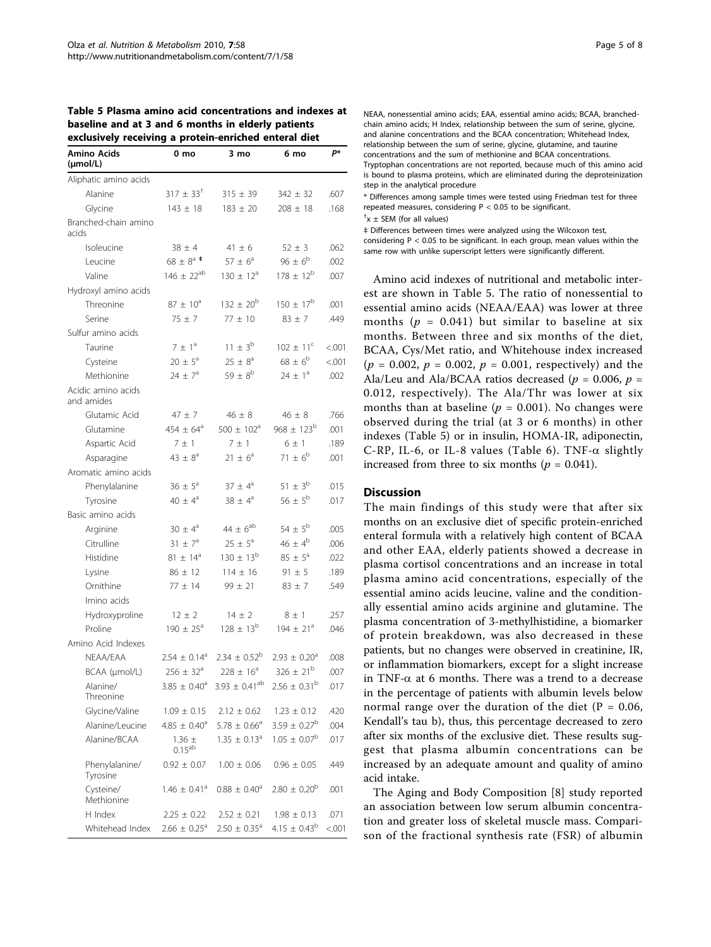<span id="page-4-0"></span>Table 5 Plasma amino acid concentrations and indexes at baseline and at 3 and 6 months in elderly patients

| exclusively receiving a protein-enriched enteral diet |                              |                              |                         |         |  |  |
|-------------------------------------------------------|------------------------------|------------------------------|-------------------------|---------|--|--|
| Amino Acids<br>(µmol/L)                               | 0 mo                         | 3 mo                         | 6 mo                    | P*      |  |  |
| Aliphatic amino acids                                 |                              |                              |                         |         |  |  |
| Alanine                                               | $317 \pm 33$ <sup>†</sup>    | $315 \pm 39$                 | $342 \pm 32$            | .607    |  |  |
| Glycine                                               | $143 \pm 18$                 | $183 \pm 20$                 | $208 \pm 18$            | .168    |  |  |
| Branched-chain amino<br>acids                         |                              |                              |                         |         |  |  |
| Isoleucine                                            | $38 \pm 4$                   | $41 \pm 6$                   | $52 \pm 3$              | .062    |  |  |
| Leucine                                               | $68 \pm 8^{\mathrm{a}}$ *    | $57 \pm 6^a$                 | $96 \pm 6^b$            | .002    |  |  |
| Valine                                                | $146 \pm 22^{ab}$            | $130 \pm 12^a$               | $178 \pm 12^{b}$        | .007    |  |  |
| Hydroxyl amino acids                                  |                              |                              |                         |         |  |  |
| Threonine                                             | $87 \pm 10^3$                | $132 \pm 20^{b}$             | $150 \pm 17^{\rm b}$    | .001    |  |  |
| Serine                                                | $75 \pm 7$                   | $77 \pm 10$                  | $83 \pm 7$              | .449    |  |  |
| Sulfur amino acids                                    |                              |                              |                         |         |  |  |
| Taurine                                               | $7 \pm 1^a$                  | $11 \pm 3^{b}$               | $102 \pm 11^c$          | < 0.001 |  |  |
| Cysteine                                              | $20 \pm 5^{\circ}$           | $25 \pm 8^a$                 | $68 \pm 6^{\circ}$      | < .001  |  |  |
| Methionine                                            | $24 \pm 7^{\circ}$           | $59 \pm 8^{b}$               | $74 + 1^a$              | .002    |  |  |
| Acidic amino acids<br>and amides                      |                              |                              |                         |         |  |  |
| Glutamic Acid                                         | $47 \pm 7$                   | $46 \pm 8$                   | $46 \pm 8$              | .766    |  |  |
| Glutamine                                             | 454 $\pm$ 64 <sup>a</sup>    | $500 \pm 102^{\circ}$        | $968 \pm 123^{b}$       | .001    |  |  |
| Aspartic Acid                                         | 7 ± 1                        | $7 \pm 1$                    | $6 \pm 1$               | .189    |  |  |
| Asparagine                                            | $43 \pm 8^a$                 | $21 \pm 6^a$                 | $71 \pm 6^b$            | .001    |  |  |
| Aromatic amino acids                                  |                              |                              |                         |         |  |  |
| Phenylalanine                                         | $36 \pm 5^{\circ}$           | $37 \pm 4^a$                 | $51 \pm 3^{b}$          | .015    |  |  |
| Tyrosine                                              | $40 \pm 4^a$                 | $38 \pm 4^a$                 | $56 \pm 5^{b}$          | .017    |  |  |
| Basic amino acids                                     |                              |                              |                         |         |  |  |
| Arginine                                              | $30 \pm 4^{\circ}$           | $44 \pm 6^{ab}$              | $54 \pm 5^{b}$          | .005    |  |  |
| Citrulline                                            | $31 \pm 7^a$                 | $25 \pm 5^{\circ}$           | $46 \pm 4^b$            | .006    |  |  |
| Histidine                                             | $81 \pm 14^{\circ}$          | $130 \pm 13^{b}$             | $85 \pm 5^{\circ}$      | .022    |  |  |
| Lysine                                                | $86 \pm 12$                  | $114 \pm 16$                 | $91 \pm 5$              | .189    |  |  |
| Ornithine                                             | $77 \pm 14$                  | $99 \pm 21$                  | $83 \pm 7$              | .549    |  |  |
| Imino acids                                           |                              |                              |                         |         |  |  |
| Hydroxyproline                                        | $12 \pm 2$                   | $14 \pm 2$                   | $8 \pm 1$               | .257    |  |  |
| Proline                                               | $190 \pm 25^{\circ}$         | $128 \pm 13^{b}$             | $194 \pm 21^{a}$        | .046    |  |  |
| Amino Acid Indexes                                    |                              |                              |                         |         |  |  |
| NEAA/EAA                                              | $2.54 \pm 0.14$ <sup>a</sup> | $2.34 \pm 0.52^b$            | $2.93 \pm 0.20^a$       | .008    |  |  |
| BCAA (µmol/L)                                         | 256 ± 32ª                    | $228 \pm 16^{\circ}$         | $326 \pm 21^{b}$        | .007    |  |  |
| Alanine/<br>Threonine                                 | $3.85 \pm 0.40^a$            | $3.93 \pm 0.41^{ab}$         | $2.56 \pm 0.31^{\rm b}$ | .017    |  |  |
| Glycine/Valine                                        | $1.09 \pm 0.15$              | $2.12 \pm 0.62$              | $1.23 \pm 0.12$         | .420    |  |  |
| Alanine/Leucine                                       | $4.85 \pm 0.40^a$            | $5.78 \pm 0.66^a$            | $3.59 \pm 0.27^{\rm b}$ | .004    |  |  |
| Alanine/BCAA                                          | $1.36 \pm$<br>$0.15^{ab}$    | $1.35 \pm 0.13^{\circ}$      | $1.05 \pm 0.07^{\rm b}$ | .017    |  |  |
| Phenylalanine/<br>Tyrosine                            | $0.92 \pm 0.07$              | $1.00 \pm 0.06$              | $0.96 \pm 0.05$         | .449    |  |  |
| Cysteine/<br>Methionine                               | $1.46 \pm 0.41$ <sup>a</sup> | $0.88 \pm 0.40^a$            | $2.80 \pm 0.20^b$       | .001    |  |  |
| H Index                                               | $2.25 \pm 0.22$              | $2.52 \pm 0.21$              | $1.98 \pm 0.13$         | .071    |  |  |
| Whitehead Index                                       | $2.66 \pm 0.25$ <sup>a</sup> | $2.50 \pm 0.35$ <sup>a</sup> | $4.15 \pm 0.43^b$       | < 0.001 |  |  |

NEAA, nonessential amino acids; EAA, essential amino acids; BCAA, branchedchain amino acids; H Index, relationship between the sum of serine, glycine, and alanine concentrations and the BCAA concentration; Whitehead Index, relationship between the sum of serine, glycine, glutamine, and taurine concentrations and the sum of methionine and BCAA concentrations. Tryptophan concentrations are not reported, because much of this amino acid is bound to plasma proteins, which are eliminated during the deproteinization step in the analytical procedure

\* Differences among sample times were tested using Friedman test for three repeated measures, considering  $P < 0.05$  to be significant.

 $+x \pm$  SEM (for all values)

‡ Differences between times were analyzed using the Wilcoxon test, considering  $P < 0.05$  to be significant. In each group, mean values within the same row with unlike superscript letters were significantly different.

Amino acid indexes of nutritional and metabolic interest are shown in Table 5. The ratio of nonessential to essential amino acids (NEAA/EAA) was lower at three months ( $p = 0.041$ ) but similar to baseline at six months. Between three and six months of the diet, BCAA, Cys/Met ratio, and Whitehouse index increased  $(p = 0.002, p = 0.002, p = 0.001,$  respectively) and the Ala/Leu and Ala/BCAA ratios decreased ( $p = 0.006$ ,  $p =$ 0.012, respectively). The Ala/Thr was lower at six months than at baseline ( $p = 0.001$ ). No changes were observed during the trial (at 3 or 6 months) in other indexes (Table 5) or in insulin, HOMA-IR, adiponectin, C-RP, IL-6, or IL-8 values (Table [6\)](#page-5-0). TNF- $\alpha$  slightly increased from three to six months ( $p = 0.041$ ).

#### **Discussion**

The main findings of this study were that after six months on an exclusive diet of specific protein-enriched enteral formula with a relatively high content of BCAA and other EAA, elderly patients showed a decrease in plasma cortisol concentrations and an increase in total plasma amino acid concentrations, especially of the essential amino acids leucine, valine and the conditionally essential amino acids arginine and glutamine. The plasma concentration of 3-methylhistidine, a biomarker of protein breakdown, was also decreased in these patients, but no changes were observed in creatinine, IR, or inflammation biomarkers, except for a slight increase in TNF- $\alpha$  at 6 months. There was a trend to a decrease in the percentage of patients with albumin levels below normal range over the duration of the diet ( $P = 0.06$ , Kendall's tau b), thus, this percentage decreased to zero after six months of the exclusive diet. These results suggest that plasma albumin concentrations can be increased by an adequate amount and quality of amino acid intake.

The Aging and Body Composition [\[8](#page-7-0)] study reported an association between low serum albumin concentration and greater loss of skeletal muscle mass. Comparison of the fractional synthesis rate (FSR) of albumin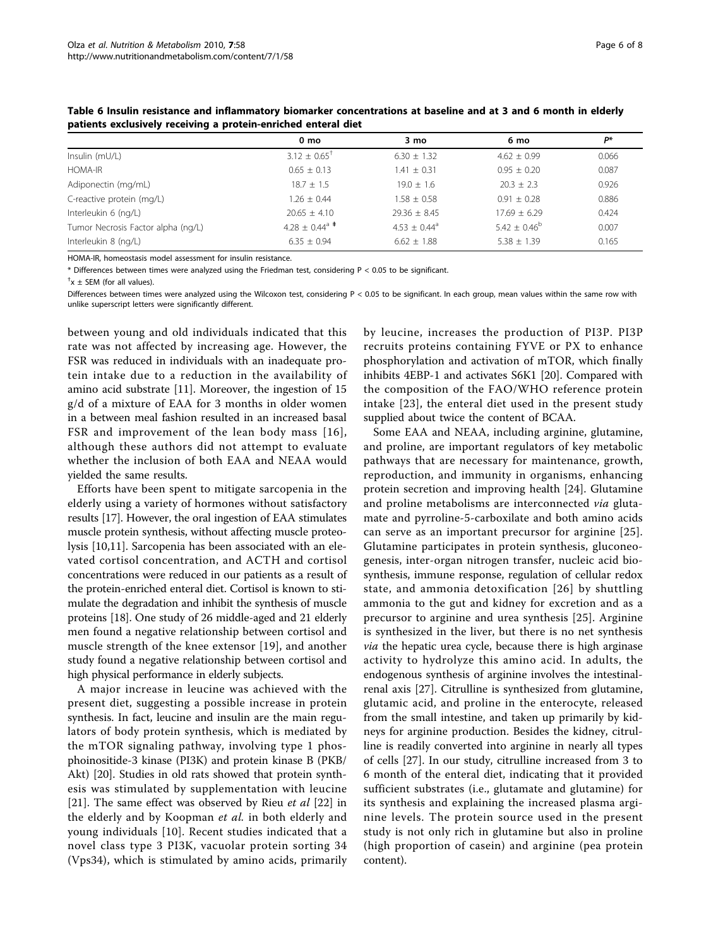|                                    | $0 \text{ mo}$            | $3 \text{ mo}$             | 6 mo            | P*    |
|------------------------------------|---------------------------|----------------------------|-----------------|-------|
| Insulin (mU/L)                     | $3.12 \pm 0.65^+$         | $6.30 + 1.32$              | $4.62 + 0.99$   | 0.066 |
| <b>HOMA-IR</b>                     | $0.65 \pm 0.13$           | $1.41 \pm 0.31$            | $0.95 + 0.20$   | 0.087 |
| Adiponectin (mg/mL)                | $18.7 \pm 1.5$            | $19.0 + 1.6$               | $20.3 \pm 2.3$  | 0.926 |
| C-reactive protein (mg/L)          | $1.26 \pm 0.44$           | $1.58 \pm 0.58$            | $0.91 \pm 0.28$ | 0.886 |
| Interleukin 6 (ng/L)               | $20.65 + 4.10$            | $29.36 + 8.45$             | $17.69 + 6.29$  | 0.424 |
| Tumor Necrosis Factor alpha (ng/L) | $4.28 \pm 0.44^{\circ}$ * | $4.53 + 0.44$ <sup>a</sup> | $5.42 + 0.46^b$ | 0.007 |
| Interleukin 8 (ng/L)               | $6.35 + 0.94$             | $6.62 \pm 1.88$            | $5.38 \pm 1.39$ | 0.165 |

<span id="page-5-0"></span>Table 6 Insulin resistance and inflammatory biomarker concentrations at baseline and at 3 and 6 month in elderly patients exclusively receiving a protein-enriched enteral diet

HOMA-IR, homeostasis model assessment for insulin resistance.

\* Differences between times were analyzed using the Friedman test, considering P < 0.05 to be significant.

 $^{\dagger}$ x  $\pm$  SEM (for all values).

Differences between times were analyzed using the Wilcoxon test, considering P < 0.05 to be significant. In each group, mean values within the same row with unlike superscript letters were significantly different.

between young and old individuals indicated that this rate was not affected by increasing age. However, the FSR was reduced in individuals with an inadequate protein intake due to a reduction in the availability of amino acid substrate [[11\]](#page-7-0). Moreover, the ingestion of 15 g/d of a mixture of EAA for 3 months in older women in a between meal fashion resulted in an increased basal FSR and improvement of the lean body mass [[16\]](#page-7-0), although these authors did not attempt to evaluate whether the inclusion of both EAA and NEAA would yielded the same results.

Efforts have been spent to mitigate sarcopenia in the elderly using a variety of hormones without satisfactory results [\[17\]](#page-7-0). However, the oral ingestion of EAA stimulates muscle protein synthesis, without affecting muscle proteolysis [\[10,11](#page-7-0)]. Sarcopenia has been associated with an elevated cortisol concentration, and ACTH and cortisol concentrations were reduced in our patients as a result of the protein-enriched enteral diet. Cortisol is known to stimulate the degradation and inhibit the synthesis of muscle proteins [[18](#page-7-0)]. One study of 26 middle-aged and 21 elderly men found a negative relationship between cortisol and muscle strength of the knee extensor [[19\]](#page-7-0), and another study found a negative relationship between cortisol and high physical performance in elderly subjects.

A major increase in leucine was achieved with the present diet, suggesting a possible increase in protein synthesis. In fact, leucine and insulin are the main regulators of body protein synthesis, which is mediated by the mTOR signaling pathway, involving type 1 phosphoinositide-3 kinase (PI3K) and protein kinase B (PKB/ Akt) [\[20](#page-7-0)]. Studies in old rats showed that protein synthesis was stimulated by supplementation with leucine [[21\]](#page-7-0). The same effect was observed by Rieu et al  $[22]$  $[22]$  in the elderly and by Koopman et al. in both elderly and young individuals [[10](#page-7-0)]. Recent studies indicated that a novel class type 3 PI3K, vacuolar protein sorting 34 (Vps34), which is stimulated by amino acids, primarily by leucine, increases the production of PI3P. PI3P recruits proteins containing FYVE or PX to enhance phosphorylation and activation of mTOR, which finally inhibits 4EBP-1 and activates S6K1 [\[20\]](#page-7-0). Compared with the composition of the FAO/WHO reference protein intake [[23](#page-7-0)], the enteral diet used in the present study supplied about twice the content of BCAA.

Some EAA and NEAA, including arginine, glutamine, and proline, are important regulators of key metabolic pathways that are necessary for maintenance, growth, reproduction, and immunity in organisms, enhancing protein secretion and improving health [[24\]](#page-7-0). Glutamine and proline metabolisms are interconnected via glutamate and pyrroline-5-carboxilate and both amino acids can serve as an important precursor for arginine [[25](#page-7-0)]. Glutamine participates in protein synthesis, gluconeogenesis, inter-organ nitrogen transfer, nucleic acid biosynthesis, immune response, regulation of cellular redox state, and ammonia detoxification [[26](#page-7-0)] by shuttling ammonia to the gut and kidney for excretion and as a precursor to arginine and urea synthesis [[25](#page-7-0)]. Arginine is synthesized in the liver, but there is no net synthesis via the hepatic urea cycle, because there is high arginase activity to hydrolyze this amino acid. In adults, the endogenous synthesis of arginine involves the intestinalrenal axis [[27\]](#page-7-0). Citrulline is synthesized from glutamine, glutamic acid, and proline in the enterocyte, released from the small intestine, and taken up primarily by kidneys for arginine production. Besides the kidney, citrulline is readily converted into arginine in nearly all types of cells [[27](#page-7-0)]. In our study, citrulline increased from 3 to 6 month of the enteral diet, indicating that it provided sufficient substrates (i.e., glutamate and glutamine) for its synthesis and explaining the increased plasma arginine levels. The protein source used in the present study is not only rich in glutamine but also in proline (high proportion of casein) and arginine (pea protein content).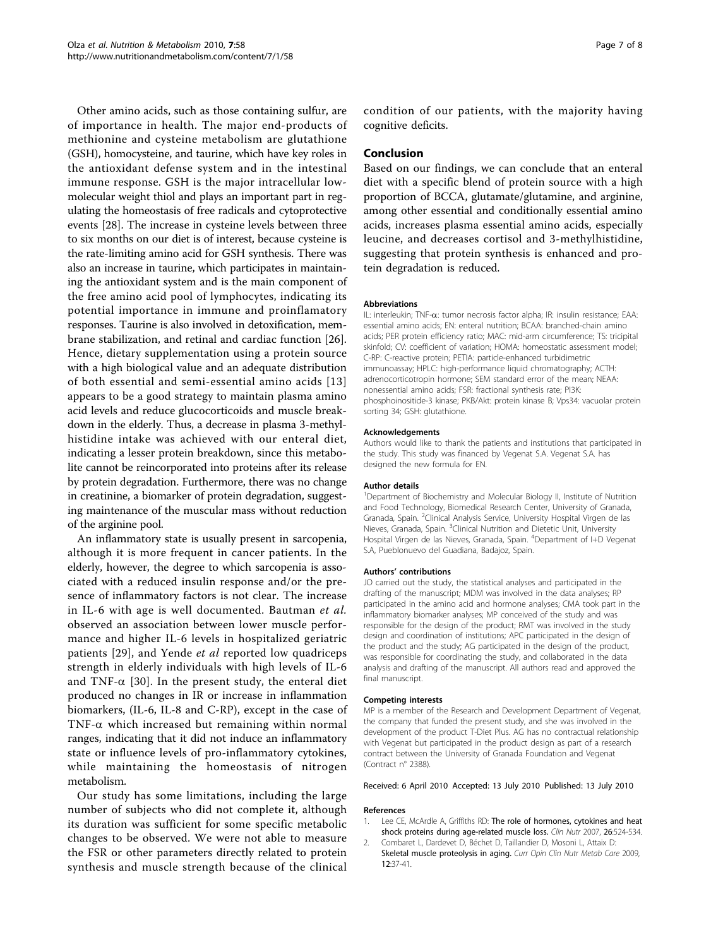<span id="page-6-0"></span>Other amino acids, such as those containing sulfur, are of importance in health. The major end-products of methionine and cysteine metabolism are glutathione (GSH), homocysteine, and taurine, which have key roles in the antioxidant defense system and in the intestinal immune response. GSH is the major intracellular lowmolecular weight thiol and plays an important part in regulating the homeostasis of free radicals and cytoprotective events [\[28](#page-7-0)]. The increase in cysteine levels between three to six months on our diet is of interest, because cysteine is the rate-limiting amino acid for GSH synthesis. There was also an increase in taurine, which participates in maintaining the antioxidant system and is the main component of the free amino acid pool of lymphocytes, indicating its potential importance in immune and proinflamatory responses. Taurine is also involved in detoxification, membrane stabilization, and retinal and cardiac function [\[26](#page-7-0)]. Hence, dietary supplementation using a protein source with a high biological value and an adequate distribution of both essential and semi-essential amino acids [[13](#page-7-0)] appears to be a good strategy to maintain plasma amino acid levels and reduce glucocorticoids and muscle breakdown in the elderly. Thus, a decrease in plasma 3-methylhistidine intake was achieved with our enteral diet, indicating a lesser protein breakdown, since this metabolite cannot be reincorporated into proteins after its release by protein degradation. Furthermore, there was no change in creatinine, a biomarker of protein degradation, suggesting maintenance of the muscular mass without reduction of the arginine pool.

An inflammatory state is usually present in sarcopenia, although it is more frequent in cancer patients. In the elderly, however, the degree to which sarcopenia is associated with a reduced insulin response and/or the presence of inflammatory factors is not clear. The increase in IL-6 with age is well documented. Bautman et al. observed an association between lower muscle performance and higher IL-6 levels in hospitalized geriatric patients [[29\]](#page-7-0), and Yende et al reported low quadriceps strength in elderly individuals with high levels of IL-6 and TNF- $\alpha$  [\[30\]](#page-7-0). In the present study, the enteral diet produced no changes in IR or increase in inflammation biomarkers, (IL-6, IL-8 and C-RP), except in the case of TNF- $\alpha$  which increased but remaining within normal ranges, indicating that it did not induce an inflammatory state or influence levels of pro-inflammatory cytokines, while maintaining the homeostasis of nitrogen metabolism.

Our study has some limitations, including the large number of subjects who did not complete it, although its duration was sufficient for some specific metabolic changes to be observed. We were not able to measure the FSR or other parameters directly related to protein synthesis and muscle strength because of the clinical

condition of our patients, with the majority having cognitive deficits.

#### Conclusion

Based on our findings, we can conclude that an enteral diet with a specific blend of protein source with a high proportion of BCCA, glutamate/glutamine, and arginine, among other essential and conditionally essential amino acids, increases plasma essential amino acids, especially leucine, and decreases cortisol and 3-methylhistidine, suggesting that protein synthesis is enhanced and protein degradation is reduced.

#### Abbreviations

IL: interleukin; TNF-a: tumor necrosis factor alpha; IR: insulin resistance; EAA: essential amino acids; EN: enteral nutrition; BCAA: branched-chain amino acids; PER protein efficiency ratio; MAC: mid-arm circumference; TS: tricipital skinfold; CV: coefficient of variation; HOMA: homeostatic assessment model; C-RP: C-reactive protein; PETIA: particle-enhanced turbidimetric immunoassay; HPLC: high-performance liquid chromatography; ACTH: adrenocorticotropin hormone; SEM standard error of the mean; NEAA: nonessential amino acids; FSR: fractional synthesis rate; PI3K: phosphoinositide-3 kinase; PKB/Akt: protein kinase B; Vps34: vacuolar protein sorting 34; GSH: glutathione.

#### Acknowledgements

Authors would like to thank the patients and institutions that participated in the study. This study was financed by Vegenat S.A. Vegenat S.A. has designed the new formula for EN.

#### Author details

<sup>1</sup>Department of Biochemistry and Molecular Biology II, Institute of Nutrition and Food Technology, Biomedical Research Center, University of Granada, Granada, Spain. <sup>2</sup>Clinical Analysis Service, University Hospital Virgen de las Nieves, Granada, Spain. <sup>3</sup>Clinical Nutrition and Dietetic Unit, University Hospital Virgen de las Nieves, Granada, Spain. <sup>4</sup>Department of I+D Vegenat S.A, Pueblonuevo del Guadiana, Badajoz, Spain.

#### Authors' contributions

JO carried out the study, the statistical analyses and participated in the drafting of the manuscript; MDM was involved in the data analyses; RP participated in the amino acid and hormone analyses; CMA took part in the inflammatory biomarker analyses; MP conceived of the study and was responsible for the design of the product; RMT was involved in the study design and coordination of institutions; APC participated in the design of the product and the study; AG participated in the design of the product, was responsible for coordinating the study, and collaborated in the data analysis and drafting of the manuscript. All authors read and approved the final manuscript.

#### Competing interests

MP is a member of the Research and Development Department of Vegenat, the company that funded the present study, and she was involved in the development of the product T-Diet Plus. AG has no contractual relationship with Vegenat but participated in the product design as part of a research contract between the University of Granada Foundation and Vegenat (Contract n° 2388).

#### Received: 6 April 2010 Accepted: 13 July 2010 Published: 13 July 2010

#### References

- 1. Lee CE, McArdle A, Griffiths RD: [The role of hormones, cytokines and heat](http://www.ncbi.nlm.nih.gov/pubmed/17590243?dopt=Abstract) [shock proteins during age-related muscle loss.](http://www.ncbi.nlm.nih.gov/pubmed/17590243?dopt=Abstract) Clin Nutr 2007, 26:524-534.
- 2. Combaret L, Dardevet D, Béchet D, Taillandier D, Mosoni L, Attaix D: [Skeletal muscle proteolysis in aging.](http://www.ncbi.nlm.nih.gov/pubmed/19057185?dopt=Abstract) Curr Opin Clin Nutr Metab Care 2009, 12:37-41.